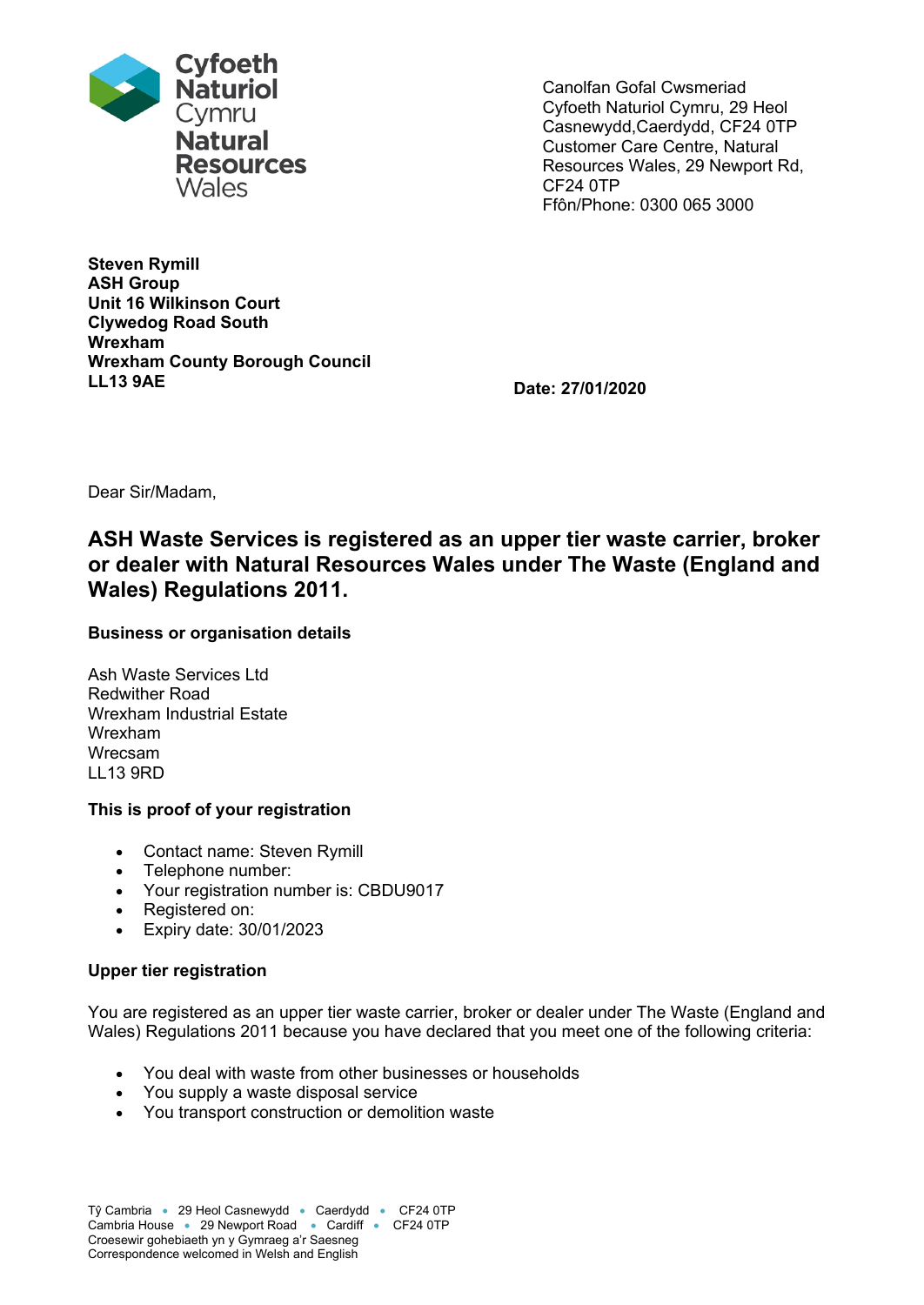

**Steven Rymill ASH Group Unit 16 Wilkinson Court Clywedog Road South Wrexham Wrexham County Borough Council LL13 9AE Date: 27/01/2020**

Canolfan Gofal Cwsmeriad Cyfoeth Naturiol Cymru, 29 Heol Casnewydd,Caerdydd, CF24 0TP Customer Care Centre, Natural Resources Wales, 29 Newport Rd, CF24 0TP Ffôn/Phone: 0300 065 3000

Dear Sir/Madam,

# **ASH Waste Services is registered as an upper tier waste carrier, broker or dealer with Natural Resources Wales under The Waste (England and Wales) Regulations 2011.**

## **Business or organisation details**

Ash Waste Services Ltd Redwither Road Wrexham Industrial Estate Wrexham Wrecsam LL13 9RD

#### **This is proof of your registration**

- Contact name: Steven Rymill
- Telephone number:
- Your registration number is: CBDU9017
- Registered on:
- Expiry date: 30/01/2023

#### **Upper tier registration**

You are registered as an upper tier waste carrier, broker or dealer under The Waste (England and Wales) Regulations 2011 because you have declared that you meet one of the following criteria:

- You deal with waste from other businesses or households
- You supply a waste disposal service
- You transport construction or demolition waste